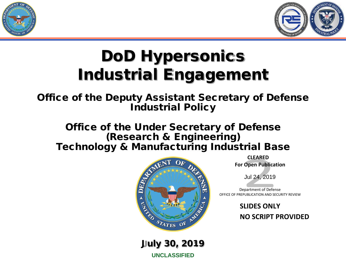



# DoD Hypersonics Industrial Engagement

Office of the Deputy Assistant Secretary of Defense Industrial Policy

Office of the Under Secretary of Defense (Research & Engineering) Technology & Manufacturing Industrial Base



July 30, 2019

**UNCLASSIFIED**

 **CLEARED For Open Publication**

Jul 24, 2019

Department of Defense OFFICE OF PREPUBLICATION AND SECURITY REVIEW

> **SLIDES ONLY NO SCRIPT PROVIDED**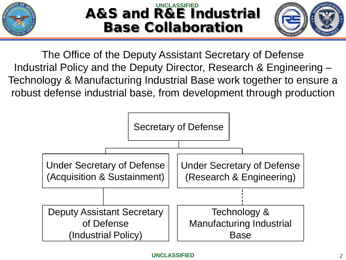

#### A&S and R&E Industrial Base Collaboration **UNCLASSIFIED**



The Office of the Deputy Assistant Secretary of Defense Industrial Policy and the Deputy Director, Research & Engineering – Technology & Manufacturing Industrial Base work together to ensure a robust defense industrial base, from development through production

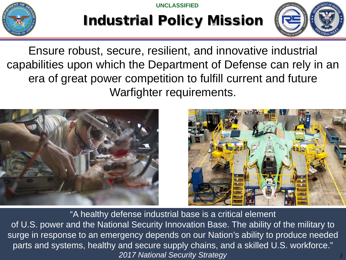**UNCLASSIFIED**



## Industrial Policy Mission



Ensure robust, secure, resilient, and innovative industrial capabilities upon which the Department of Defense can rely in an era of great power competition to fulfill current and future Warfighter requirements.





**UNCLASSIFIED** *2017 National Security Strategy* "A healthy defense industrial base is a critical element of U.S. power and the National Security Innovation Base. The ability of the military to surge in response to an emergency depends on our Nation's ability to produce needed parts and systems, healthy and secure supply chains, and a skilled U.S. workforce."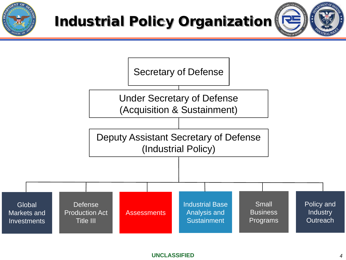





#### **UNCLASSIFIED**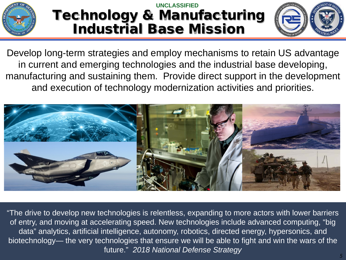

#### Technology & Manufacturing Industrial Base Mission **UNCLASSIFIED**



Develop long-term strategies and employ mechanisms to retain US advantage in current and emerging technologies and the industrial base developing, manufacturing and sustaining them. Provide direct support in the development and execution of technology modernization activities and priorities.



"The drive to develop new technologies is relentless, expanding to more actors with lower barriers of entry, and moving at accelerating speed. New technologies include advanced computing, "big data" analytics, artificial intelligence, autonomy, robotics, directed energy, hypersonics, and biotechnology— the very technologies that ensure we will be able to fight and win the wars of the future." *2018 National Defense Strategy*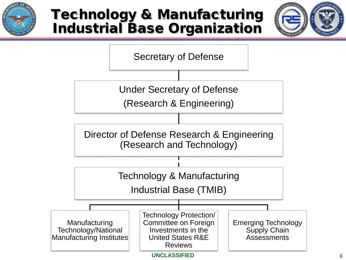

## Technology & Manufacturing Industrial Base Organization



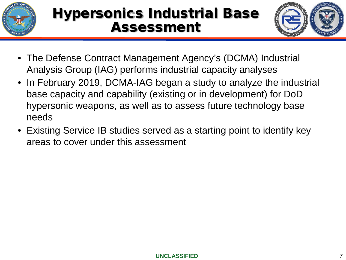



- The Defense Contract Management Agency's (DCMA) Industrial Analysis Group (IAG) performs industrial capacity analyses
- In February 2019, DCMA-IAG began a study to analyze the industrial base capacity and capability (existing or in development) for DoD hypersonic weapons, as well as to assess future technology base needs
- Existing Service IB studies served as a starting point to identify key areas to cover under this assessment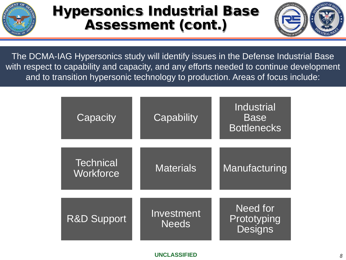

## Hypersonics Industrial Base Assessment (cont.)



The DCMA-IAG Hypersonics study will identify issues in the Defense Industrial Base with respect to capability and capacity, and any efforts needed to continue development and to transition hypersonic technology to production. Areas of focus include:

| Capacity                      | Capability                 | Industrial<br><b>Base</b><br><b>Bottlenecks</b> |
|-------------------------------|----------------------------|-------------------------------------------------|
| <b>Technical</b><br>Workforce | <b>Materials</b>           | Manufacturing                                   |
| <b>R&amp;D Support</b>        | Investment<br><b>Needs</b> | Need for<br>Prototyping<br><b>Designs</b>       |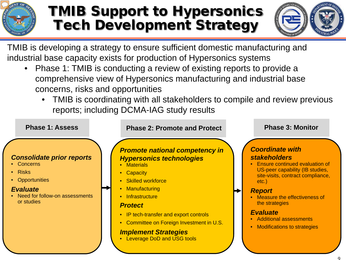

## TMIB Support to Hypersonics Tech Development Strategy



TMIB is developing a strategy to ensure sufficient domestic manufacturing and industrial base capacity exists for production of Hypersonics systems

- Phase 1: TMIB is conducting a review of existing reports to provide a comprehensive view of Hypersonics manufacturing and industrial base concerns, risks and opportunities
	- TMIB is coordinating with all stakeholders to compile and review previous reports; including DCMA-IAG study results

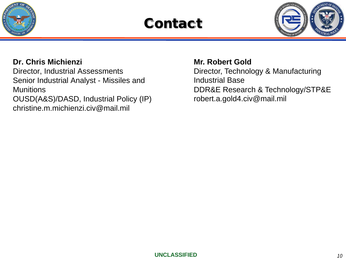

## **Contact**



#### **Dr. Chris Michienzi**

Director, Industrial Assessments Senior Industrial Analyst - Missiles and **Munitions** OUSD(A&S)/DASD, Industrial Policy (IP) christine.m.michienzi.civ@mail.mil

**Mr. Robert Gold** Director, Technology & Manufacturing Industrial Base DDR&E Research & Technology/STP&E robert.a.gold4.civ@mail.mil